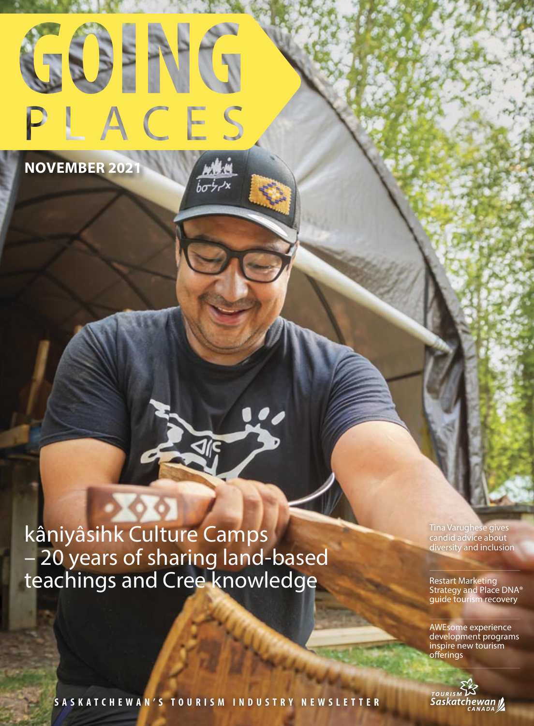

 $b\sigma\dot{\tau}r^{\prime}$ 

**NOVEMBER 2021**

kâniyâsihk Culture Camps – 20 years of sharing land-based teachings and Cree knowledge

Tina Varughese gives candid advice about diversity and inclusion

Restart Marketing Strategy and Place DNA® guide tourism recovery

AWEsome experience development programs inspire new tourism offerings



**SASKATCHEWA N'S T OURISM INDUSTRY NEWSLETTER**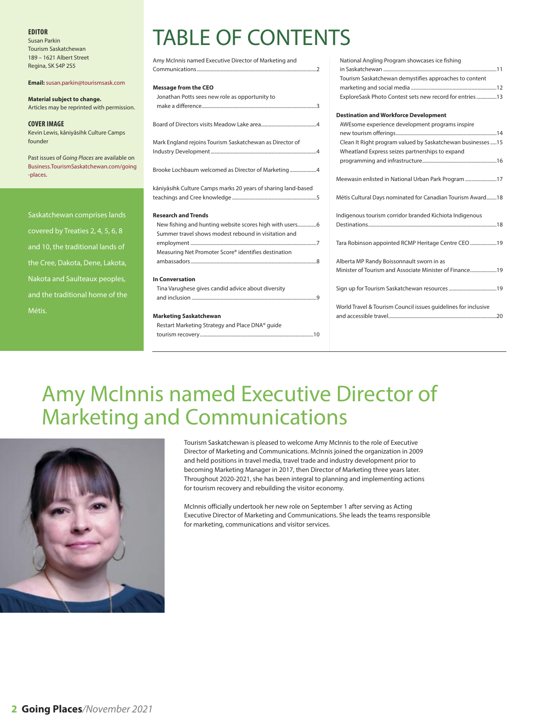### **EDITOR**

Susan Parkin Tourism Saskatchewan 189 – 1621 Albert Street Regina, SK S4P 2S5

### **Email:** susan.parkin@tourismsask.com

**Material subject to change.** Articles may be reprinted with permission.

**COVER IMAGE** Kevin Lewis, kâniyâsihk Culture Camps founder

Past issues of Going Places are available on Business.TourismSaskatchewan.com/going -places.

Saskatchewan comprises lands covered by Treaties 2, 4, 5, 6, 8 and 10, the traditional lands of the Cree, Dakota, Dene, Lakota, Nakota and Saulteaux peoples, and the traditional home of the Métis.

# TABLE OF CONTENTS

| Amy McInnis named Executive Director of Marketing and         |
|---------------------------------------------------------------|
|                                                               |
| <b>Message from the CEO</b>                                   |
| Jonathan Potts sees new role as opportunity to                |
|                                                               |
|                                                               |
| Mark England rejoins Tourism Saskatchewan as Director of      |
|                                                               |
| Brooke Lochbaum welcomed as Director of Marketing 4           |
| kâniyâsihk Culture Camps marks 20 years of sharing land-based |
|                                                               |
| <b>Research and Trends</b>                                    |
|                                                               |
| Summer travel shows modest rebound in visitation and          |
|                                                               |
| Measuring Net Promoter Score® identifies destination          |
|                                                               |
| <b>In Conversation</b>                                        |
| Tina Varughese gives candid advice about diversity            |
|                                                               |
| <b>Marketing Saskatchewan</b>                                 |
| Restart Marketing Strategy and Place DNA® guide               |
|                                                               |

| National Angling Program showcases ice fishing                 |
|----------------------------------------------------------------|
|                                                                |
| Tourism Saskatchewan demystifies approaches to content         |
|                                                                |
| ExploreSask Photo Contest sets new record for entries 13       |
|                                                                |
| <b>Destination and Workforce Development</b>                   |
| AWEsome experience development programs inspire                |
|                                                                |
| Clean It Right program valued by Saskatchewan businesses15     |
| Wheatland Express seizes partnerships to expand                |
|                                                                |
|                                                                |
| Meewasin enlisted in National Urban Park Program 17            |
|                                                                |
| Métis Cultural Days nominated for Canadian Tourism Award18     |
|                                                                |
| Indigenous tourism corridor branded Kichiota Indigenous        |
|                                                                |
|                                                                |
| Tara Robinson appointed RCMP Heritage Centre CEO 19            |
|                                                                |
| Alberta MP Randy Boissonnault sworn in as                      |
| Minister of Tourism and Associate Minister of Finance19        |
|                                                                |
|                                                                |
|                                                                |
| World Travel & Tourism Council issues quidelines for inclusive |
|                                                                |

# Amy McInnis named Executive Director of Marketing and Communications



Tourism Saskatchewan is pleased to welcome Amy McInnis to the role of Executive Director of Marketing and Communications. McInnis joined the organization in 2009 and held positions in travel media, travel trade and industry development prior to becoming Marketing Manager in 2017, then Director of Marketing three years later. Throughout 2020-2021, she has been integral to planning and implementing actions for tourism recovery and rebuilding the visitor economy.

McInnis officially undertook her new role on September 1 after serving as Acting Executive Director of Marketing and Communications. She leads the teams responsible for marketing, communications and visitor services.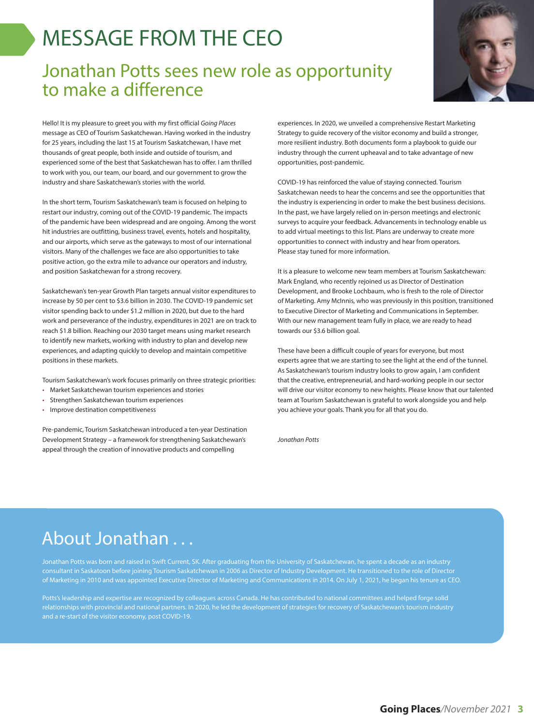# MESSAGE FROM THE CEO

### Jonathan Potts sees new role as opportunity to make a difference



Hello! It is my pleasure to greet you with my first official Going Places message as CEO of Tourism Saskatchewan. Having worked in the industry for 25 years, including the last 15 at Tourism Saskatchewan, I have met thousands of great people, both inside and outside of tourism, and experienced some of the best that Saskatchewan has to offer. I am thrilled to work with you, our team, our board, and our government to grow the industry and share Saskatchewan's stories with the world.

In the short term, Tourism Saskatchewan's team is focused on helping to restart our industry, coming out of the COVID-19 pandemic. The impacts of the pandemic have been widespread and are ongoing. Among the worst hit industries are outfitting, business travel, events, hotels and hospitality, and our airports, which serve as the gateways to most of our international visitors. Many of the challenges we face are also opportunities to take positive action, go the extra mile to advance our operators and industry, and position Saskatchewan for a strong recovery.

Saskatchewan's ten-year Growth Plan targets annual visitor expenditures to increase by 50 per cent to \$3.6 billion in 2030. The COVID-19 pandemic set visitor spending back to under \$1.2 million in 2020, but due to the hard work and perseverance of the industry, expenditures in 2021 are on track to reach \$1.8 billion. Reaching our 2030 target means using market research to identify new markets, working with industry to plan and develop new experiences, and adapting quickly to develop and maintain competitive positions in these markets.

Tourism Saskatchewan's work focuses primarily on three strategic priorities:

- Market Saskatchewan tourism experiences and stories
- Strengthen Saskatchewan tourism experiences
- Improve destination competitiveness

Pre-pandemic, Tourism Saskatchewan introduced a ten-year Destination Development Strategy – a framework for strengthening Saskatchewan's appeal through the creation of innovative products and compelling

experiences. In 2020, we unveiled a comprehensive Restart Marketing Strategy to guide recovery of the visitor economy and build a stronger, more resilient industry. Both documents form a playbook to guide our industry through the current upheaval and to take advantage of new opportunities, post-pandemic.

COVID-19 has reinforced the value of staying connected. Tourism Saskatchewan needs to hear the concerns and see the opportunities that the industry is experiencing in order to make the best business decisions. In the past, we have largely relied on in-person meetings and electronic surveys to acquire your feedback. Advancements in technology enable us to add virtual meetings to this list. Plans are underway to create more opportunities to connect with industry and hear from operators. Please stay tuned for more information.

It is a pleasure to welcome new team members at Tourism Saskatchewan: Mark England, who recently rejoined us as Director of Destination Development, and Brooke Lochbaum, who is fresh to the role of Director of Marketing. Amy McInnis, who was previously in this position, transitioned to Executive Director of Marketing and Communications in September. With our new management team fully in place, we are ready to head towards our \$3.6 billion goal.

These have been a difficult couple of years for everyone, but most experts agree that we are starting to see the light at the end of the tunnel. As Saskatchewan's tourism industry looks to grow again, I am confident that the creative, entrepreneurial, and hard-working people in our sector will drive our visitor economy to new heights. Please know that our talented team at Tourism Saskatchewan is grateful to work alongside you and help you achieve your goals. Thank you for all that you do.

Jonathan Potts

### About Jonathan . . .

Jonathan Potts was born and raised in Swift Current, SK. After graduating from the University of Saskatchewan, he spent a decade as an industry consultant in Saskatoon before joining Tourism Saskatchewan in 2006 as Director of Industry Development. He transitioned to the role of Director of Marketing in 2010 and was appointed Executive Director of Marketing and Communications in 2014. On July 1, 2021, he began his tenure as CEO.

Potts's leadership and expertise are recognized by colleagues across Canada. He has contributed to national committees and helped forge solid relationships with provincial and national partners. In 2020, he led the development of strategies for recovery of Saskatchewan's tourism industry and a re-start of the visitor economy, post COVID-19.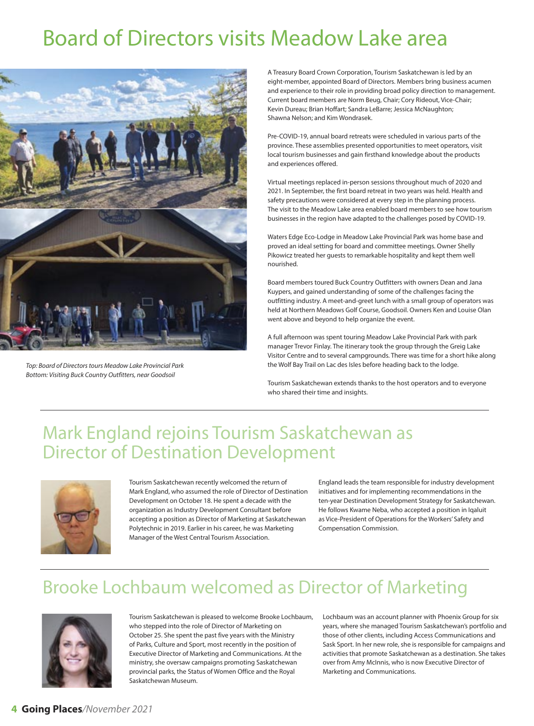# Board of Directors visits Meadow Lake area



Top: Board of Directors tours Meadow Lake Provincial Park Bottom: Visiting Buck Country Outfitters, near Goodsoil

A Treasury Board Crown Corporation, Tourism Saskatchewan is led by an eight-member, appointed Board of Directors. Members bring business acumen and experience to their role in providing broad policy direction to management. Current board members are Norm Beug, Chair; Cory Rideout, Vice-Chair; Kevin Dureau; Brian Hoffart; Sandra LeBarre; Jessica McNaughton; Shawna Nelson; and Kim Wondrasek.

Pre-COVID-19, annual board retreats were scheduled in various parts of the province. These assemblies presented opportunities to meet operators, visit local tourism businesses and gain firsthand knowledge about the products and experiences offered.

Virtual meetings replaced in-person sessions throughout much of 2020 and 2021. In September, the first board retreat in two years was held. Health and safety precautions were considered at every step in the planning process. The visit to the Meadow Lake area enabled board members to see how tourism businesses in the region have adapted to the challenges posed by COVID-19.

Waters Edge Eco-Lodge in Meadow Lake Provincial Park was home base and proved an ideal setting for board and committee meetings. Owner Shelly Pikowicz treated her guests to remarkable hospitality and kept them well nourished.

Board members toured Buck Country Outfitters with owners Dean and Jana Kuypers, and gained understanding of some of the challenges facing the outfitting industry. A meet-and-greet lunch with a small group of operators was held at Northern Meadows Golf Course, Goodsoil. Owners Ken and Louise Olan went above and beyond to help organize the event.

A full afternoon was spent touring Meadow Lake Provincial Park with park manager Trevor Finlay. The itinerary took the group through the Greig Lake Visitor Centre and to several campgrounds. There was time for a short hike along the Wolf Bay Trail on Lac des Isles before heading back to the lodge.

Tourism Saskatchewan extends thanks to the host operators and to everyone who shared their time and insights.

### Mark England rejoins Tourism Saskatchewan as Director of Destination Development



Tourism Saskatchewan recently welcomed the return of Mark England, who assumed the role of Director of Destination Development on October 18. He spent a decade with the organization as Industry Development Consultant before accepting a position as Director of Marketing at Saskatchewan Polytechnic in 2019. Earlier in his career, he was Marketing Manager of the West Central Tourism Association.

England leads the team responsible for industry development initiatives and for implementing recommendations in the ten-year Destination Development Strategy for Saskatchewan. He follows Kwame Neba, who accepted a position in Iqaluit as Vice-President of Operations for the Workers' Safety and Compensation Commission.

## Brooke Lochbaum welcomed as Director of Marketing



Tourism Saskatchewan is pleased to welcome Brooke Lochbaum, who stepped into the role of Director of Marketing on October 25. She spent the past five years with the Ministry of Parks, Culture and Sport, most recently in the position of Executive Director of Marketing and Communications. At the ministry, she oversaw campaigns promoting Saskatchewan provincial parks, the Status of Women Office and the Royal Saskatchewan Museum.

Lochbaum was an account planner with Phoenix Group for six years, where she managed Tourism Saskatchewan's portfolio and those of other clients, including Access Communications and Sask Sport. In her new role, she is responsible for campaigns and activities that promote Saskatchewan as a destination. She takes over from Amy McInnis, who is now Executive Director of Marketing and Communications.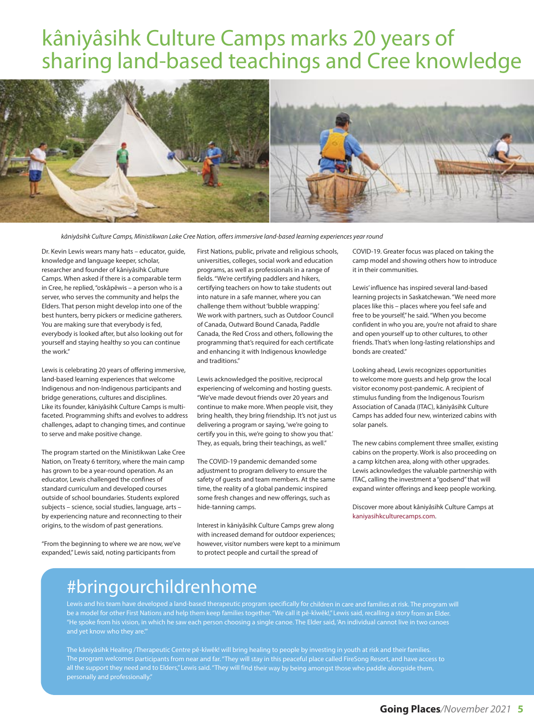# kâniyâsihk Culture Camps marks 20 years of sharing land-based teachings and Cree knowledge



kâniyâsihk Culture Camps, Ministikwan Lake Cree Nation, offers immersive land-based learning experiences year round

Dr. Kevin Lewis wears many hats – educator, guide, knowledge and language keeper, scholar, researcher and founder of kâniyâsihk Culture Camps. When asked if there is a comparable term in Cree, he replied, "oskâpêwis – a person who is a server, who serves the community and helps the Elders. That person might develop into one of the best hunters, berry pickers or medicine gatherers. You are making sure that everybody is fed, everybody is looked after, but also looking out for yourself and staying healthy so you can continue the work."

Lewis is celebrating 20 years of offering immersive, land-based learning experiences that welcome Indigenous and non-Indigenous participants and bridge generations, cultures and disciplines. Like its founder, kâniyâsihk Culture Camps is multifaceted. Programming shifts and evolves to address challenges, adapt to changing times, and continue to serve and make positive change.

The program started on the Ministikwan Lake Cree Nation, on Treaty 6 territory, where the main camp has grown to be a year-round operation. As an educator, Lewis challenged the confines of standard curriculum and developed courses outside of school boundaries. Students explored subjects – science, social studies, language, arts – by experiencing nature and reconnecting to their origins, to the wisdom of past generations.

"From the beginning to where we are now, we've expanded," Lewis said, noting participants from

First Nations, public, private and religious schools, universities, colleges, social work and education programs, as well as professionals in a range of fields. "We're certifying paddlers and hikers, certifying teachers on how to take students out into nature in a safe manner, where you can challenge them without 'bubble wrapping.' We work with partners, such as Outdoor Council of Canada, Outward Bound Canada, Paddle Canada, the Red Cross and others, following the programming that's required for each certificate and enhancing it with Indigenous knowledge and traditions."

Lewis acknowledged the positive, reciprocal experiencing of welcoming and hosting guests. "We've made devout friends over 20 years and continue to make more. When people visit, they bring health, they bring friendship. It's not just us delivering a program or saying, 'we're going to certify you in this, we're going to show you that.' They, as equals, bring their teachings, as well."

The COVID-19 pandemic demanded some adjustment to program delivery to ensure the safety of guests and team members. At the same time, the reality of a global pandemic inspired some fresh changes and new offerings, such as hide-tanning camps.

Interest in kâniyâsihk Culture Camps grew along with increased demand for outdoor experiences; however, visitor numbers were kept to a minimum to protect people and curtail the spread of

COVID-19. Greater focus was placed on taking the camp model and showing others how to introduce it in their communities.

Lewis' influence has inspired several land-based learning projects in Saskatchewan. "We need more places like this – places where you feel safe and free to be yourself," he said. "When you become confident in who you are, you're not afraid to share and open yourself up to other cultures, to other friends. That's when long-lasting relationships and bonds are created."

Looking ahead, Lewis recognizes opportunities to welcome more guests and help grow the local visitor economy post-pandemic. A recipient of stimulus funding from the Indigenous Tourism Association of Canada (ITAC), kâniyâsihk Culture Camps has added four new, winterized cabins with solar panels.

The new cabins complement three smaller, existing cabins on the property. Work is also proceeding on a camp kitchen area, along with other upgrades. Lewis acknowledges the valuable partnership with ITAC, calling the investment a "godsend" that will expand winter offerings and keep people working.

Discover more about kâniyâsihk Culture Camps at kaniyasihkculturecamps.com.

### #bringourchildrenhome

Lewis and his team have developed a land-based therapeutic program specifically for children in care and families at risk. The program will be a model for other First Nations and help them keep families together. "We call it pê-kîwêk!," Lewis said, recalling a story from an Elder. "He spoke from his vision, in which he saw each person choosing a single canoe. The Elder said, 'An individual cannot live in two canoes and yet know who they are.'"

The kâniyâsihk Healing /Therapeutic Centre pê-kîwêk! will bring healing to people by investing in youth at risk and their families. The program welcomes participants from near and far. "They will stay in this peaceful place called FireSong Resort, and have access to all the support they need and to Elders," Lewis said. "They will find their way by being amongst those who paddle alongside them, personally and professionally.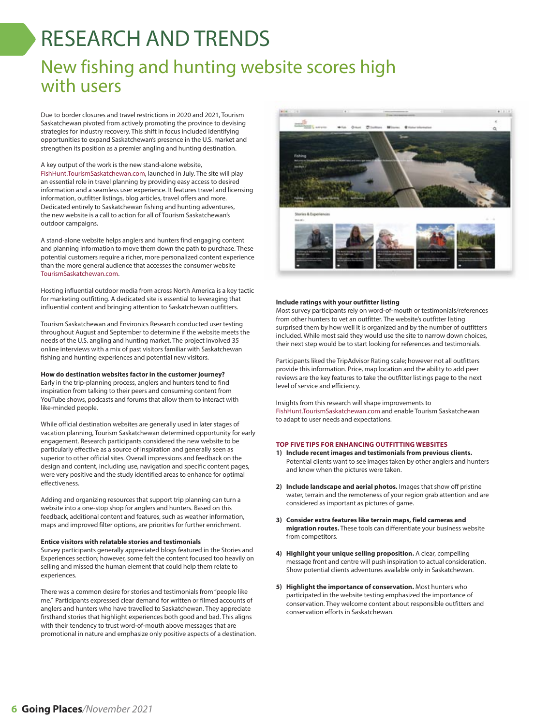# RESEARCH AND TRENDS

### New fishing and hunting website scores high with users

Due to border closures and travel restrictions in 2020 and 2021, Tourism Saskatchewan pivoted from actively promoting the province to devising strategies for industry recovery. This shift in focus included identifying opportunities to expand Saskatchewan's presence in the U.S. market and strengthen its position as a premier angling and hunting destination.

#### A key output of the work is the new stand-alone website,

FishHunt.TourismSaskatchewan.com, launched in July. The site will play an essential role in travel planning by providing easy access to desired information and a seamless user experience. It features travel and licensing information, outfitter listings, blog articles, travel offers and more. Dedicated entirely to Saskatchewan fishing and hunting adventures, the new website is a call to action for all of Tourism Saskatchewan's outdoor campaigns.

A stand-alone website helps anglers and hunters find engaging content and planning information to move them down the path to purchase. These potential customers require a richer, more personalized content experience than the more general audience that accesses the consumer website TourismSaskatchewan.com.

Hosting influential outdoor media from across North America is a key tactic for marketing outfitting. A dedicated site is essential to leveraging that influential content and bringing attention to Saskatchewan outfitters.

Tourism Saskatchewan and Environics Research conducted user testing throughout August and September to determine if the website meets the needs of the U.S. angling and hunting market. The project involved 35 online interviews with a mix of past visitors familiar with Saskatchewan fishing and hunting experiences and potential new visitors.

### **How do destination websites factor in the customer journey?**

Early in the trip-planning process, anglers and hunters tend to find inspiration from talking to their peers and consuming content from YouTube shows, podcasts and forums that allow them to interact with like-minded people.

While official destination websites are generally used in later stages of vacation planning, Tourism Saskatchewan determined opportunity for early engagement. Research participants considered the new website to be particularly effective as a source of inspiration and generally seen as superior to other official sites. Overall impressions and feedback on the design and content, including use, navigation and specific content pages, were very positive and the study identified areas to enhance for optimal effectiveness.

Adding and organizing resources that support trip planning can turn a website into a one-stop shop for anglers and hunters. Based on this feedback, additional content and features, such as weather information, maps and improved filter options, are priorities for further enrichment.

#### **Entice visitors with relatable stories and testimonials**

Survey participants generally appreciated blogs featured in the Stories and Experiences section; however, some felt the content focused too heavily on selling and missed the human element that could help them relate to experiences.

There was a common desire for stories and testimonials from "people like me." Participants expressed clear demand for written or filmed accounts of anglers and hunters who have travelled to Saskatchewan. They appreciate firsthand stories that highlight experiences both good and bad. This aligns with their tendency to trust word-of-mouth above messages that are promotional in nature and emphasize only positive aspects of a destination.



### **Include ratings with your outfitter listing**

Most survey participants rely on word-of-mouth or testimonials/references from other hunters to vet an outfitter. The website's outfitter listing surprised them by how well it is organized and by the number of outfitters included. While most said they would use the site to narrow down choices, their next step would be to start looking for references and testimonials.

Participants liked the TripAdvisor Rating scale; however not all outfitters provide this information. Price, map location and the ability to add peer reviews are the key features to take the outfitter listings page to the next level of service and efficiency.

Insights from this research will shape improvements to FishHunt.TourismSaskatchewan.com and enable Tourism Saskatchewan to adapt to user needs and expectations.

#### **TOP FIVE TIPS FOR ENHANCING OUTFITTING WEBSITES**

- **1) Include recent images and testimonials from previous clients.** Potential clients want to see images taken by other anglers and hunters and know when the pictures were taken.
- **2) Include landscape and aerial photos.** Images that show off pristine water, terrain and the remoteness of your region grab attention and are considered as important as pictures of game.
- **3) Consider extra features like terrain maps, field cameras and migration routes.** These tools can differentiate your business website from competitors.
- **4) Highlight your unique selling proposition.** A clear, compelling message front and centre will push inspiration to actual consideration. Show potential clients adventures available only in Saskatchewan.
- **5) Highlight the importance of conservation.** Most hunters who participated in the website testing emphasized the importance of conservation. They welcome content about responsible outfitters and conservation efforts in Saskatchewan.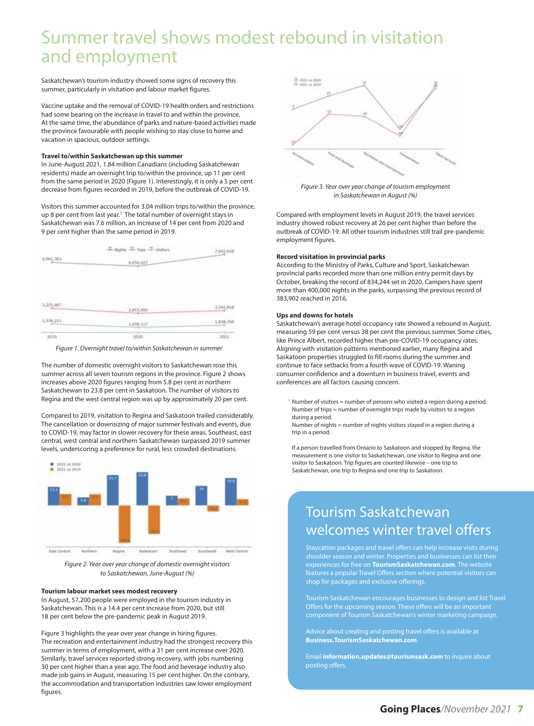### Summer travel shows modest rebound in visitation and employment

Saskatchewan's tourism industry showed some signs of recovery this summer, particularly in visitation and labour market figures.

Vaccine uptake and the removal of COVID-19 health orders and restrictions had some bearing on the increase in travel to and within the province. At the same time, the abundance of parks and nature-based activities made the province favourable with people wishing to stay close to home and vacation in spacious, outdoor settings.

#### **Travel to/within Saskatchewan up this summer**

In June-August 2021, 1.84 million Canadians (including Saskatchewan residents) made an overnight trip to/within the province, up 11 per cent from the same period in 2020 (Figure 1). Interestingly, it is only a 5 per cent decrease from figures recorded in 2019, before the outbreak of COVID-19.

Visitors this summer accounted for 3.04 million trips to/within the province, up 8 per cent from last year.<sup>1</sup> The total number of overnight stays in Saskatchewan was 7.6 million, an increase of 14 per cent from 2020 and 9 per cent higher than the same period in 2019.



Figure 1. Overnight travel to/within Saskatchewan in summer

The number of domestic overnight visitors to Saskatchewan rose this summer across all seven tourism regions in the province. Figure 2 shows increases above 2020 figures ranging from 5.8 per cent in northern Saskatchewan to 23.8 per cent in Saskatoon. The number of visitors to Regina and the west central region was up by approximately 20 per cent.

Compared to 2019, visitation to Regina and Saskatoon trailed considerably. The cancellation or downsizing of major summer festivals and events, due to COVID-19, may factor in slower recovery for these areas. Southeast, east central, west central and northern Saskatchewan surpassed 2019 summer levels, underscoring a preference for rural, less crowded destinations.



Figure 2. Year over year change of domestic overnight visitors to Saskatchewan, June-August (%)

#### **Tourism labour market sees modest recovery**

In August, 57,200 people were employed in the tourism industry in Saskatchewan. This is a 14.4 per cent increase from 2020, but still 18 per cent below the pre-pandemic peak in August 2019.

Figure 3 highlights the year over year change in hiring figures. The recreation and entertainment industry had the strongest recovery this summer in terms of employment, with a 31 per cent increase over 2020. Similarly, travel services reported strong recovery, with jobs numbering 30 per cent higher than a year ago. The food and beverage industry also made job gains in August, measuring 15 per cent higher. On the contrary, the accommodation and transportation industries saw lower employment figures.



Figure 3. Year over year change of tourism employment in Saskatchewan in August (%)

Compared with employment levels in August 2019, the travel services industry showed robust recovery at 26 per cent higher than before the outbreak of COVID-19. All other tourism industries still trail pre-pandemic employment figures.

#### **Record visitation in provincial parks**

According to the Ministry of Parks, Culture and Sport, Saskatchewan provincial parks recorded more than one million entry permit days by October, breaking the record of 834,244 set in 2020. Campers have spent more than 400,000 nights in the parks, surpassing the previous record of 383,902 reached in 2016.

### **Ups and downs for hotels**

Saskatchewan's average hotel occupancy rate showed a rebound in August, measuring 59 per cent versus 38 per cent the previous summer. Some cities, like Prince Albert, recorded higher than pre-COVID-19 occupancy rates. Aligning with visitation patterns mentioned earlier, many Regina and Saskatoon properties struggled to fill rooms during the summer and continue to face setbacks from a fourth wave of COVID-19. Waning consumer confidence and a downturn in business travel, events and conferences are all factors causing concern.

<sup>1</sup> Number of visitors = number of persons who visited a region during a period. Number of trips = number of overnight trips made by visitors to a region during a period.

 Number of nights = number of nights visitors stayed in a region during a trip in a period.

 If a person travelled from Ontario to Saskatoon and stopped by Regina, the measurement is one visitor to Saskatchewan, one visitor to Regina and one visitor to Saskatoon. Trip figures are counted likewise – one trip to Saskatchewan, one trip to Regina and one trip to Saskatoon.

### Tourism Saskatchewan welcomes winter travel offers

Staycation packages and travel offers can help increase visits during shoulder season and winter. Properties and businesses can list their experiences for free on **TourismSaskatchewan.com**. The website features a popular Travel Offers section where potential visitors can shop for packages and exclusive offerings.

Tourism Saskatchewan encourages businesses to design and list Travel Offers for the upcoming season. These offers will be an important component of Tourism Saskatchewan's winter marketing campaign.

Advice about creating and posting travel offers is available at **Business.TourismSaskatchewan.com**.

Email **information.updates@tourismsask.com** to inquire about posting offers.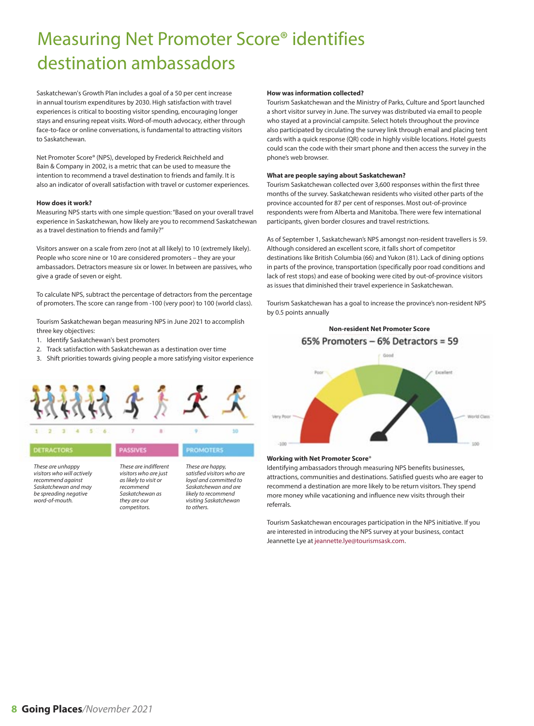# Measuring Net Promoter Score® identifies destination ambassadors

Saskatchewan's Growth Plan includes a goal of a 50 per cent increase in annual tourism expenditures by 2030. High satisfaction with travel experiences is critical to boosting visitor spending, encouraging longer stays and ensuring repeat visits. Word-of-mouth advocacy, either through face-to-face or online conversations, is fundamental to attracting visitors to Saskatchewan.

Net Promoter Score® (NPS), developed by Frederick Reichheld and Bain & Company in 2002, is a metric that can be used to measure the intention to recommend a travel destination to friends and family. It is also an indicator of overall satisfaction with travel or customer experiences.

#### **How does it work?**

Measuring NPS starts with one simple question: "Based on your overall travel experience in Saskatchewan, how likely are you to recommend Saskatchewan as a travel destination to friends and family?"

Visitors answer on a scale from zero (not at all likely) to 10 (extremely likely). People who score nine or 10 are considered promoters – they are your ambassadors. Detractors measure six or lower. In between are passives, who give a grade of seven or eight.

To calculate NPS, subtract the percentage of detractors from the percentage of promoters. The score can range from -100 (very poor) to 100 (world class).

Tourism Saskatchewan began measuring NPS in June 2021 to accomplish three key objectives:

- 1. Identify Saskatchewan's best promoters
- 2. Track satisfaction with Saskatchewan as a destination over time
- 3. Shift priorities towards giving people a more satisfying visitor experience



#### PASSIVES **ROMOTERS** DETRACTORS These are unhappy These are happy, These are indifferent

visitors who will actively recommend against Saskatchewan and may be spreading negative word-of-mouth.

#### visitors who are just as likely to visit or recommend Saskatchewan as they are our competitors.

satisfied visitors who are loyal and committed to Saskatchewan and are likely to recommend visiting Saskatchewan to others.

#### **How was information collected?**

Tourism Saskatchewan and the Ministry of Parks, Culture and Sport launched a short visitor survey in June. The survey was distributed via email to people who stayed at a provincial campsite. Select hotels throughout the province also participated by circulating the survey link through email and placing tent cards with a quick response (QR) code in highly visible locations. Hotel guests could scan the code with their smart phone and then access the survey in the phone's web browser.

#### **What are people saying about Saskatchewan?**

Tourism Saskatchewan collected over 3,600 responses within the first three months of the survey. Saskatchewan residents who visited other parts of the province accounted for 87 per cent of responses. Most out-of-province respondents were from Alberta and Manitoba. There were few international participants, given border closures and travel restrictions.

As of September 1, Saskatchewan's NPS amongst non-resident travellers is 59. Although considered an excellent score, it falls short of competitor destinations like British Columbia (66) and Yukon (81). Lack of dining options in parts of the province, transportation (specifically poor road conditions and lack of rest stops) and ease of booking were cited by out-of-province visitors as issues that diminished their travel experience in Saskatchewan.

Tourism Saskatchewan has a goal to increase the province's non-resident NPS by 0.5 points annually



#### **Working with Net Promoter Score**®

Identifying ambassadors through measuring NPS benefits businesses, attractions, communities and destinations. Satisfied guests who are eager to recommend a destination are more likely to be return visitors. They spend more money while vacationing and influence new visits through their referrals.

Tourism Saskatchewan encourages participation in the NPS initiative. If you are interested in introducing the NPS survey at your business, contact Jeannette Lye at jeannette.lye@tourismsask.com.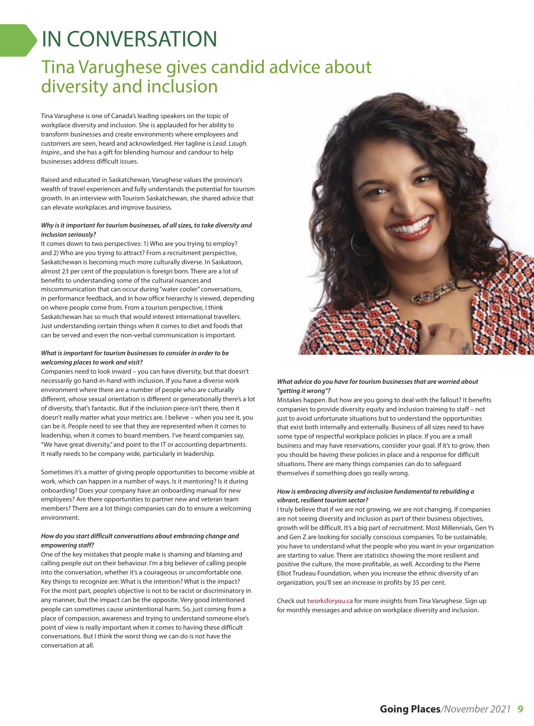# IN CONVERSATION

### Tina Varughese gives candid advice about diversity and inclusion

Tina Varughese is one of Canada's leading speakers on the topic of workplace diversity and inclusion. She is applauded for her ability to transform businesses and create environments where employees and customers are seen, heard and acknowledged. Her tagline is Lead. Laugh. Inspire., and she has a gift for blending humour and candour to help businesses address difficult issues.

Raised and educated in Saskatchewan, Varughese values the province's wealth of travel experiences and fully understands the potential for tourism growth. In an interview with Tourism Saskatchewan, she shared advice that can elevate workplaces and improve business.

### **Why is it important for tourism businesses, of all sizes, to take diversity and inclusion seriously?**

It comes down to two perspectives: 1) Who are you trying to employ? and 2) Who are you trying to attract? From a recruitment perspective, Saskatchewan is becoming much more culturally diverse. In Saskatoon, almost 23 per cent of the population is foreign born. There are a lot of benefits to understanding some of the cultural nuances and miscommunication that can occur during "water cooler" conversations, in performance feedback, and in how office hierarchy is viewed, depending on where people come from. From a tourism perspective, I think Saskatchewan has so much that would interest international travellers. Just understanding certain things when it comes to diet and foods that can be served and even the non-verbal communication is important.

### **What is important for tourism businesses to consider in order to be welcoming places to work and visit?**

Companies need to look inward – you can have diversity, but that doesn't necessarily go hand-in-hand with inclusion. If you have a diverse work environment where there are a number of people who are culturally different, whose sexual orientation is different or generationally there's a lot of diversity, that's fantastic. But if the inclusion piece isn't there, then it doesn't really matter what your metrics are. I believe – when you see it, you can be it. People need to see that they are represented when it comes to leadership, when it comes to board members. I've heard companies say, "We have great diversity," and point to the IT or accounting departments. It really needs to be company wide, particularly in leadership.

Sometimes it's a matter of giving people opportunities to become visible at work, which can happen in a number of ways. Is it mentoring? Is it during onboarding? Does your company have an onboarding manual for new employees? Are there opportunities to partner new and veteran team members? There are a lot things companies can do to ensure a welcoming environment.

### **How do you start difficult conversations about embracing change and empowering staff?**

One of the key mistakes that people make is shaming and blaming and calling people out on their behaviour. I'm a big believer of calling people into the conversation, whether it's a courageous or uncomfortable one. Key things to recognize are: What is the intention? What is the impact? For the most part, people's objective is not to be racist or discriminatory in any manner, but the impact can be the opposite. Very good intentioned people can sometimes cause unintentional harm. So, just coming from a place of compassion, awareness and trying to understand someone else's point of view is really important when it comes to having these difficult conversations. But I think the worst thing we can do is not have the conversation at all.



### **What advice do you have for tourism businesses that are worried about "getting it wrong"?**

Mistakes happen. But how are you going to deal with the fallout? It benefits companies to provide diversity equity and inclusion training to staff – not just to avoid unfortunate situations but to understand the opportunities that exist both internally and externally. Business of all sizes need to have some type of respectful workplace policies in place. If you are a small business and may have reservations, consider your goal. If it's to grow, then you should be having these policies in place and a response for difficult situations. There are many things companies can do to safeguard themselves if something does go really wrong.

### **How is embracing diversity and inclusion fundamental to rebuilding a vibrant, resilient tourism sector?**

I truly believe that if we are not growing, we are not changing. If companies are not seeing diversity and inclusion as part of their business objectives, growth will be difficult. It's a big part of recruitment. Most Millennials, Gen Ys and Gen Z are looking for socially conscious companies. To be sustainable, you have to understand what the people who you want in your organization are starting to value. There are statistics showing the more resilient and positive the culture, the more profitable, as well. According to the Pierre Elliot Trudeau Foundation, when you increase the ethnic diversity of an organization, you'll see an increase in profits by 35 per cent.

Check out tworksforyou.ca for more insights from Tina Varughese. Sign up for monthly messages and advice on workplace diversity and inclusion.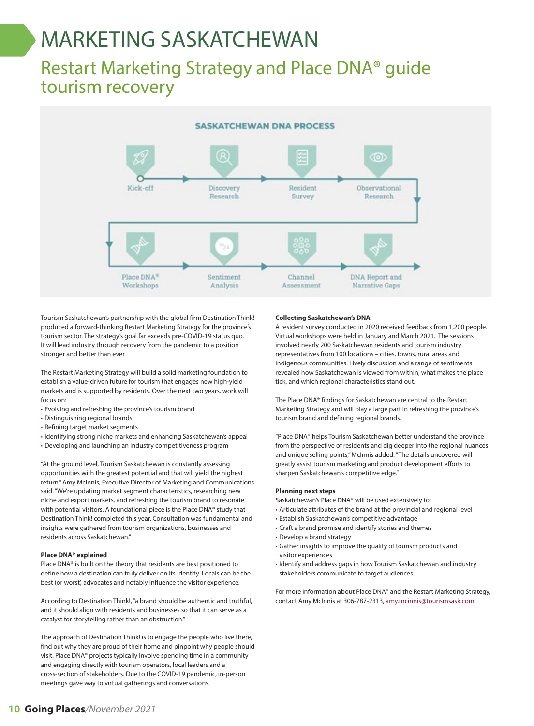# MARKETING SASKATCHEWAN

### Restart Marketing Strategy and Place DNA® guide tourism recovery



Tourism Saskatchewan's partnership with the global firm Destination Think! produced a forward-thinking Restart Marketing Strategy for the province's tourism sector. The strategy's goal far exceeds pre-COVID-19 status quo. It will lead industry through recovery from the pandemic to a position stronger and better than ever.

The Restart Marketing Strategy will build a solid marketing foundation to establish a value-driven future for tourism that engages new high-yield markets and is supported by residents. Over the next two years, work will focus on:

- Evolving and refreshing the province's tourism brand
- Distinguishing regional brands
- Refining target market segments
- Identifying strong niche markets and enhancing Saskatchewan's appeal
- Developing and launching an industry competitiveness program

"At the ground level, Tourism Saskatchewan is constantly assessing opportunities with the greatest potential and that will yield the highest return," Amy McInnis, Executive Director of Marketing and Communications said. "We're updating market segment characteristics, researching new niche and export markets, and refreshing the tourism brand to resonate with potential visitors. A foundational piece is the Place DNA® study that Destination Think! completed this year. Consultation was fundamental and insights were gathered from tourism organizations, businesses and residents across Saskatchewan."

### **Place DNA® explained**

Place DNA® is built on the theory that residents are best positioned to define how a destination can truly deliver on its identity. Locals can be the best (or worst) advocates and notably influence the visitor experience.

According to Destination Think!, "a brand should be authentic and truthful, and it should align with residents and businesses so that it can serve as a catalyst for storytelling rather than an obstruction."

The approach of Destination Think! is to engage the people who live there, find out why they are proud of their home and pinpoint why people should visit. Place DNA® projects typically involve spending time in a community and engaging directly with tourism operators, local leaders and a cross-section of stakeholders. Due to the COVID-19 pandemic, in-person meetings gave way to virtual gatherings and conversations.

#### **Collecting Saskatchewan's DNA**

A resident survey conducted in 2020 received feedback from 1,200 people. Virtual workshops were held in January and March 2021. The sessions involved nearly 200 Saskatchewan residents and tourism industry representatives from 100 locations – cities, towns, rural areas and Indigenous communities. Lively discussion and a range of sentiments revealed how Saskatchewan is viewed from within, what makes the place tick, and which regional characteristics stand out.

The Place DNA® findings for Saskatchewan are central to the Restart Marketing Strategy and will play a large part in refreshing the province's tourism brand and defining regional brands.

"Place DNA® helps Tourism Saskatchewan better understand the province from the perspective of residents and dig deeper into the regional nuances and unique selling points," McInnis added. "The details uncovered will greatly assist tourism marketing and product development efforts to sharpen Saskatchewan's competitive edge."

#### **Planning next steps**

Saskatchewan's Place DNA® will be used extensively to:

- Articulate attributes of the brand at the provincial and regional level
- Establish Saskatchewan's competitive advantage
- Craft a brand promise and identify stories and themes
- Develop a brand strategy
- Gather insights to improve the quality of tourism products and visitor experiences
- Identify and address gaps in how Tourism Saskatchewan and industry stakeholders communicate to target audiences

For more information about Place DNA® and the Restart Marketing Strategy, contact Amy McInnis at 306-787-2313, amy.mcinnis@tourismsask.com.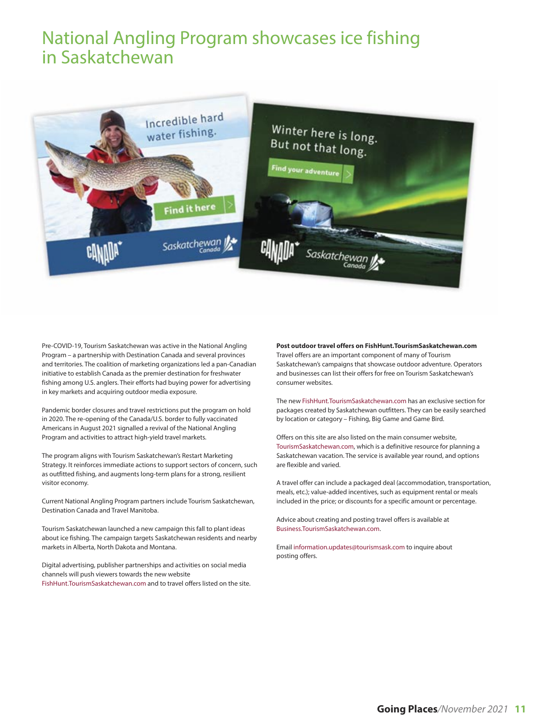### National Angling Program showcases ice fishing in Saskatchewan



Pre-COVID-19, Tourism Saskatchewan was active in the National Angling Program – a partnership with Destination Canada and several provinces and territories. The coalition of marketing organizations led a pan-Canadian initiative to establish Canada as the premier destination for freshwater fishing among U.S. anglers. Their efforts had buying power for advertising in key markets and acquiring outdoor media exposure.

Pandemic border closures and travel restrictions put the program on hold in 2020. The re-opening of the Canada/U.S. border to fully vaccinated Americans in August 2021 signalled a revival of the National Angling Program and activities to attract high-yield travel markets.

The program aligns with Tourism Saskatchewan's Restart Marketing Strategy. It reinforces immediate actions to support sectors of concern, such as outfitted fishing, and augments long-term plans for a strong, resilient visitor economy.

Current National Angling Program partners include Tourism Saskatchewan, Destination Canada and Travel Manitoba.

Tourism Saskatchewan launched a new campaign this fall to plant ideas about ice fishing. The campaign targets Saskatchewan residents and nearby markets in Alberta, North Dakota and Montana.

Digital advertising, publisher partnerships and activities on social media channels will push viewers towards the new website FishHunt.TourismSaskatchewan.com and to travel offers listed on the site.

### **Post outdoor travel offers on FishHunt.TourismSaskatchewan.com**

Travel offers are an important component of many of Tourism Saskatchewan's campaigns that showcase outdoor adventure. Operators and businesses can list their offers for free on Tourism Saskatchewan's consumer websites.

The new FishHunt.TourismSaskatchewan.com has an exclusive section for packages created by Saskatchewan outfitters. They can be easily searched by location or category – Fishing, Big Game and Game Bird.

Offers on this site are also listed on the main consumer website, TourismSaskatchewan.com, which is a definitive resource for planning a Saskatchewan vacation. The service is available year round, and options are flexible and varied.

A travel offer can include a packaged deal (accommodation, transportation, meals, etc.); value-added incentives, such as equipment rental or meals included in the price; or discounts for a specific amount or percentage.

Advice about creating and posting travel offers is available at Business.TourismSaskatchewan.com.

Email information.updates@tourismsask.com to inquire about posting offers.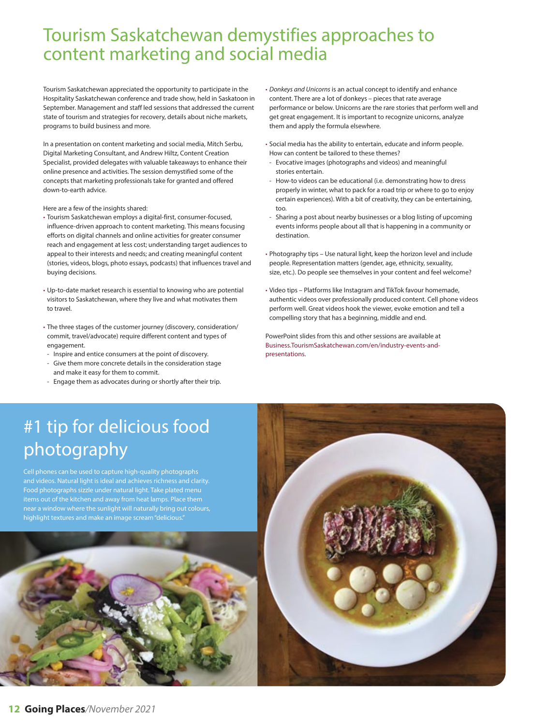### Tourism Saskatchewan demystifies approaches to content marketing and social media

Tourism Saskatchewan appreciated the opportunity to participate in the Hospitality Saskatchewan conference and trade show, held in Saskatoon in September. Management and staff led sessions that addressed the current state of tourism and strategies for recovery, details about niche markets, programs to build business and more.

In a presentation on content marketing and social media, Mitch Serbu, Digital Marketing Consultant, and Andrew Hiltz, Content Creation Specialist, provided delegates with valuable takeaways to enhance their online presence and activities. The session demystified some of the concepts that marketing professionals take for granted and offered down-to-earth advice.

Here are a few of the insights shared:

- Tourism Saskatchewan employs a digital-first, consumer-focused, influence-driven approach to content marketing. This means focusing efforts on digital channels and online activities for greater consumer reach and engagement at less cost; understanding target audiences to appeal to their interests and needs; and creating meaningful content (stories, videos, blogs, photo essays, podcasts) that influences travel and buying decisions.
- Up-to-date market research is essential to knowing who are potential visitors to Saskatchewan, where they live and what motivates them to travel.
- The three stages of the customer journey (discovery, consideration/ commit, travel/advocate) require different content and types of engagement.
- Inspire and entice consumers at the point of discovery.
- Give them more concrete details in the consideration stage and make it easy for them to commit.
- Engage them as advocates during or shortly after their trip.

• Donkeys and Unicorns is an actual concept to identify and enhance content. There are a lot of donkeys – pieces that rate average performance or below. Unicorns are the rare stories that perform well and get great engagement. It is important to recognize unicorns, analyze them and apply the formula elsewhere.

- Social media has the ability to entertain, educate and inform people. How can content be tailored to these themes?
- Evocative images (photographs and videos) and meaningful stories entertain.
- How-to videos can be educational (i.e. demonstrating how to dress properly in winter, what to pack for a road trip or where to go to enjoy certain experiences). With a bit of creativity, they can be entertaining, too.
- Sharing a post about nearby businesses or a blog listing of upcoming events informs people about all that is happening in a community or destination.
- Photography tips Use natural light, keep the horizon level and include people. Representation matters (gender, age, ethnicity, sexuality, size, etc.). Do people see themselves in your content and feel welcome?
- Video tips Platforms like Instagram and TikTok favour homemade, authentic videos over professionally produced content. Cell phone videos perform well. Great videos hook the viewer, evoke emotion and tell a compelling story that has a beginning, middle and end.

PowerPoint slides from this and other sessions are available at Business.TourismSaskatchewan.com/en/industry-events-andpresentations.

## #1 tip for delicious food photography

Cell phones can be used to capture high-quality photographs and videos. Natural light is ideal and achieves richness and clarity. Food photographs sizzle under natural light. Take plated menu items out of the kitchen and away from heat lamps. Place them near a window where the sunlight will naturally bring out colours, highlight textures and make an image scream "delicious.



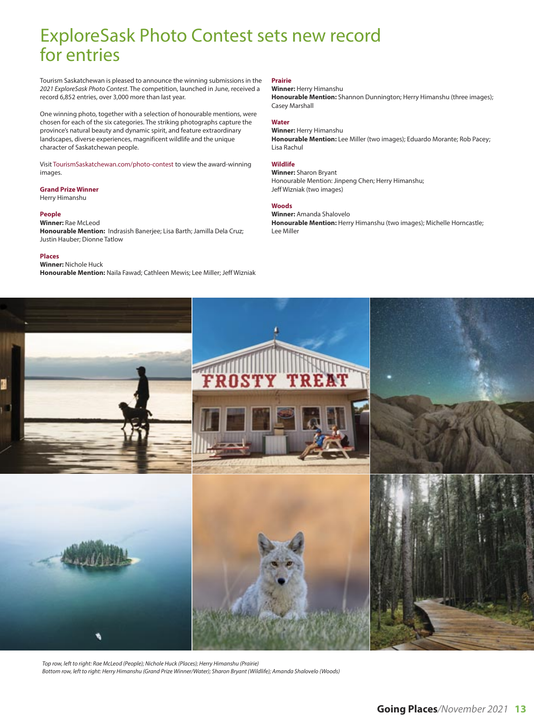### ExploreSask Photo Contest sets new record for entries

Tourism Saskatchewan is pleased to announce the winning submissions in the 2021 ExploreSask Photo Contest. The competition, launched in June, received a record 6,852 entries, over 3,000 more than last year.

One winning photo, together with a selection of honourable mentions, were chosen for each of the six categories. The striking photographs capture the province's natural beauty and dynamic spirit, and feature extraordinary landscapes, diverse experiences, magnificent wildlife and the unique character of Saskatchewan people.

Visit TourismSaskatchewan.com/photo-contest to view the award-winning images.

### **Grand Prize Winner**

Herry Himanshu

### **People**

**Winner:** Rae McLeod **Honourable Mention:** Indrasish Banerjee; Lisa Barth; Jamilla Dela Cruz; Justin Hauber; Dionne Tatlow

#### **Places**

**Winner:** Nichole Huck **Honourable Mention:** Naila Fawad; Cathleen Mewis; Lee Miller; Jeff Wizniak

### **Prairie**

### **Winner:** Herry Himanshu

**Honourable Mention:** Shannon Dunnington; Herry Himanshu (three images); Casey Marshall

### **Water**

**Winner:** Herry Himanshu **Honourable Mention:** Lee Miller (two images); Eduardo Morante; Rob Pacey; Lisa Rachul

### **Wildlife**

**Winner:** Sharon Bryant Honourable Mention: Jinpeng Chen; Herry Himanshu; Jeff Wizniak (two images)

#### **Woods**

**Winner:** Amanda Shalovelo **Honourable Mention:** Herry Himanshu (two images); Michelle Horncastle; Lee Miller



Top row, left to right: Rae McLeod (People); Nichole Huck (Places); Herry Himanshu (Prairie) Bottom row, left to right: Herry Himanshu (Grand Prize Winner/Water); Sharon Bryant (Wildlife); Amanda Shalovelo (Woods)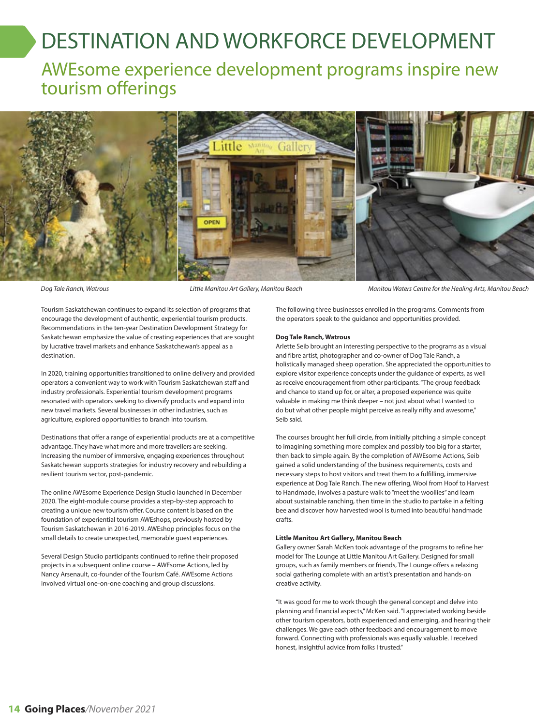# DESTINATION AND WORKFORCE DEVELOPMENT

AWEsome experience development programs inspire new tourism offerings



Dog Tale Ranch, Watrous **Little Manitou Art Gallery, Manitou Beach** Manitou Waters Centre for the Healing Arts, Manitou Beach

Tourism Saskatchewan continues to expand its selection of programs that encourage the development of authentic, experiential tourism products. Recommendations in the ten-year Destination Development Strategy for Saskatchewan emphasize the value of creating experiences that are sought by lucrative travel markets and enhance Saskatchewan's appeal as a destination.

In 2020, training opportunities transitioned to online delivery and provided operators a convenient way to work with Tourism Saskatchewan staff and industry professionals. Experiential tourism development programs resonated with operators seeking to diversify products and expand into new travel markets. Several businesses in other industries, such as agriculture, explored opportunities to branch into tourism.

Destinations that offer a range of experiential products are at a competitive advantage. They have what more and more travellers are seeking. Increasing the number of immersive, engaging experiences throughout Saskatchewan supports strategies for industry recovery and rebuilding a resilient tourism sector, post-pandemic.

The online AWEsome Experience Design Studio launched in December 2020. The eight-module course provides a step-by-step approach to creating a unique new tourism offer. Course content is based on the foundation of experiential tourism AWEshops, previously hosted by Tourism Saskatchewan in 2016-2019. AWEshop principles focus on the small details to create unexpected, memorable guest experiences.

Several Design Studio participants continued to refine their proposed projects in a subsequent online course – AWEsome Actions, led by Nancy Arsenault, co-founder of the Tourism Café. AWEsome Actions involved virtual one-on-one coaching and group discussions.

The following three businesses enrolled in the programs. Comments from the operators speak to the guidance and opportunities provided.

#### **Dog Tale Ranch, Watrous**

Arlette Seib brought an interesting perspective to the programs as a visual and fibre artist, photographer and co-owner of Dog Tale Ranch, a holistically managed sheep operation. She appreciated the opportunities to explore visitor experience concepts under the guidance of experts, as well as receive encouragement from other participants. "The group feedback and chance to stand up for, or alter, a proposed experience was quite valuable in making me think deeper – not just about what I wanted to do but what other people might perceive as really nifty and awesome," Seib said.

The courses brought her full circle, from initially pitching a simple concept to imagining something more complex and possibly too big for a starter, then back to simple again. By the completion of AWEsome Actions, Seib gained a solid understanding of the business requirements, costs and necessary steps to host visitors and treat them to a fulfilling, immersive experience at Dog Tale Ranch. The new offering, Wool from Hoof to Harvest to Handmade, involves a pasture walk to "meet the woollies" and learn about sustainable ranching, then time in the studio to partake in a felting bee and discover how harvested wool is turned into beautiful handmade crafts.

#### **Little Manitou Art Gallery, Manitou Beach**

Gallery owner Sarah McKen took advantage of the programs to refine her model for The Lounge at Little Manitou Art Gallery. Designed for small groups, such as family members or friends, The Lounge offers a relaxing social gathering complete with an artist's presentation and hands-on creative activity.

"It was good for me to work though the general concept and delve into planning and financial aspects," McKen said. "I appreciated working beside other tourism operators, both experienced and emerging, and hearing their challenges. We gave each other feedback and encouragement to move forward. Connecting with professionals was equally valuable. I received honest, insightful advice from folks I trusted."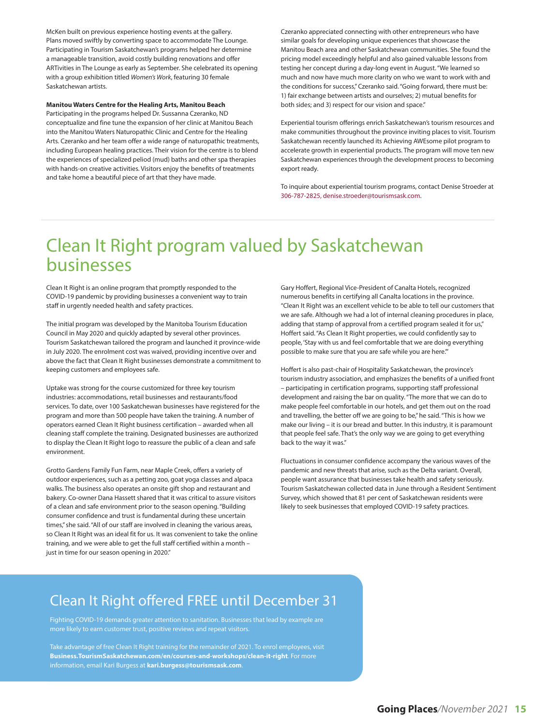McKen built on previous experience hosting events at the gallery. Plans moved swiftly by converting space to accommodate The Lounge. Participating in Tourism Saskatchewan's programs helped her determine a manageable transition, avoid costly building renovations and offer ARTivities in The Lounge as early as September. She celebrated its opening with a group exhibition titled Women's Work, featuring 30 female Saskatchewan artists.

#### **Manitou Waters Centre for the Healing Arts, Manitou Beach**

Participating in the programs helped Dr. Sussanna Czeranko, ND conceptualize and fine tune the expansion of her clinic at Manitou Beach into the Manitou Waters Naturopathic Clinic and Centre for the Healing Arts. Czeranko and her team offer a wide range of naturopathic treatments, including European healing practices. Their vision for the centre is to blend the experiences of specialized peliod (mud) baths and other spa therapies with hands-on creative activities. Visitors enjoy the benefits of treatments and take home a beautiful piece of art that they have made.

Czeranko appreciated connecting with other entrepreneurs who have similar goals for developing unique experiences that showcase the Manitou Beach area and other Saskatchewan communities. She found the pricing model exceedingly helpful and also gained valuable lessons from testing her concept during a day-long event in August. "We learned so much and now have much more clarity on who we want to work with and the conditions for success," Czeranko said. "Going forward, there must be: 1) fair exchange between artists and ourselves; 2) mutual benefits for both sides; and 3) respect for our vision and space."

Experiential tourism offerings enrich Saskatchewan's tourism resources and make communities throughout the province inviting places to visit. Tourism Saskatchewan recently launched its Achieving AWEsome pilot program to accelerate growth in experiential products. The program will move ten new Saskatchewan experiences through the development process to becoming export ready.

To inquire about experiential tourism programs, contact Denise Stroeder at 306-787-2825, denise.stroeder@tourismsask.com.

### Clean It Right program valued by Saskatchewan businesses

Clean It Right is an online program that promptly responded to the COVID-19 pandemic by providing businesses a convenient way to train staff in urgently needed health and safety practices.

The initial program was developed by the Manitoba Tourism Education Council in May 2020 and quickly adapted by several other provinces. Tourism Saskatchewan tailored the program and launched it province-wide in July 2020. The enrolment cost was waived, providing incentive over and above the fact that Clean It Right businesses demonstrate a commitment to keeping customers and employees safe.

Uptake was strong for the course customized for three key tourism industries: accommodations, retail businesses and restaurants/food services. To date, over 100 Saskatchewan businesses have registered for the program and more than 500 people have taken the training. A number of operators earned Clean It Right business certification – awarded when all cleaning staff complete the training. Designated businesses are authorized to display the Clean It Right logo to reassure the public of a clean and safe environment.

Grotto Gardens Family Fun Farm, near Maple Creek, offers a variety of outdoor experiences, such as a petting zoo, goat yoga classes and alpaca walks. The business also operates an onsite gift shop and restaurant and bakery. Co-owner Dana Hassett shared that it was critical to assure visitors of a clean and safe environment prior to the season opening. "Building consumer confidence and trust is fundamental during these uncertain times," she said. "All of our staff are involved in cleaning the various areas, so Clean It Right was an ideal fit for us. It was convenient to take the online training, and we were able to get the full staff certified within a month – just in time for our season opening in 2020."

Gary Hoffert, Regional Vice-President of Canalta Hotels, recognized numerous benefits in certifying all Canalta locations in the province. "Clean It Right was an excellent vehicle to be able to tell our customers that we are safe. Although we had a lot of internal cleaning procedures in place, adding that stamp of approval from a certified program sealed it for us," Hoffert said. "As Clean It Right properties, we could confidently say to people, 'Stay with us and feel comfortable that we are doing everything possible to make sure that you are safe while you are here.'"

Hoffert is also past-chair of Hospitality Saskatchewan, the province's tourism industry association, and emphasizes the benefits of a unified front – participating in certification programs, supporting staff professional development and raising the bar on quality. "The more that we can do to make people feel comfortable in our hotels, and get them out on the road and travelling, the better off we are going to be," he said. "This is how we make our living – it is our bread and butter. In this industry, it is paramount that people feel safe. That's the only way we are going to get everything back to the way it was."

Fluctuations in consumer confidence accompany the various waves of the pandemic and new threats that arise, such as the Delta variant. Overall, people want assurance that businesses take health and safety seriously. Tourism Saskatchewan collected data in June through a Resident Sentiment Survey, which showed that 81 per cent of Saskatchewan residents were likely to seek businesses that employed COVID-19 safety practices.

### Clean It Right offered FREE until December 31

Fighting COVID-19 demands greater attention to sanitation. Businesses that lead by example are more likely to earn customer trust, positive reviews and repeat visitors.

Take advantage of free Clean It Right training for the remainder of 2021. To enrol employees, visit **Business.TourismSaskatchewan.com/en/courses-and-workshops/clean-it-right**. For more information, email Kari Burgess at **kari.burgess@tourismsask.com**.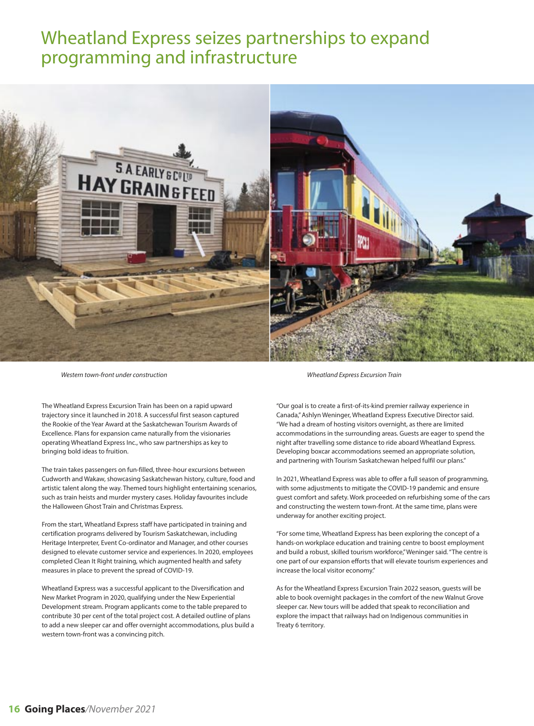### Wheatland Express seizes partnerships to expand programming and infrastructure



Western town-front under construction Wheatland Express Excursion Train

The Wheatland Express Excursion Train has been on a rapid upward trajectory since it launched in 2018. A successful first season captured the Rookie of the Year Award at the Saskatchewan Tourism Awards of Excellence. Plans for expansion came naturally from the visionaries operating Wheatland Express Inc., who saw partnerships as key to bringing bold ideas to fruition.

The train takes passengers on fun-filled, three-hour excursions between Cudworth and Wakaw, showcasing Saskatchewan history, culture, food and artistic talent along the way. Themed tours highlight entertaining scenarios, such as train heists and murder mystery cases. Holiday favourites include the Halloween Ghost Train and Christmas Express.

From the start, Wheatland Express staff have participated in training and certification programs delivered by Tourism Saskatchewan, including Heritage Interpreter, Event Co-ordinator and Manager, and other courses designed to elevate customer service and experiences. In 2020, employees completed Clean It Right training, which augmented health and safety measures in place to prevent the spread of COVID-19.

Wheatland Express was a successful applicant to the Diversification and New Market Program in 2020, qualifying under the New Experiential Development stream. Program applicants come to the table prepared to contribute 30 per cent of the total project cost. A detailed outline of plans to add a new sleeper car and offer overnight accommodations, plus build a western town-front was a convincing pitch.

"Our goal is to create a first-of-its-kind premier railway experience in Canada," Ashlyn Weninger, Wheatland Express Executive Director said. "We had a dream of hosting visitors overnight, as there are limited accommodations in the surrounding areas. Guests are eager to spend the night after travelling some distance to ride aboard Wheatland Express. Developing boxcar accommodations seemed an appropriate solution, and partnering with Tourism Saskatchewan helped fulfil our plans."

In 2021, Wheatland Express was able to offer a full season of programming, with some adjustments to mitigate the COVID-19 pandemic and ensure guest comfort and safety. Work proceeded on refurbishing some of the cars and constructing the western town-front. At the same time, plans were underway for another exciting project.

"For some time, Wheatland Express has been exploring the concept of a hands-on workplace education and training centre to boost employment and build a robust, skilled tourism workforce," Weninger said. "The centre is one part of our expansion efforts that will elevate tourism experiences and increase the local visitor economy."

As for the Wheatland Express Excursion Train 2022 season, guests will be able to book overnight packages in the comfort of the new Walnut Grove sleeper car. New tours will be added that speak to reconciliation and explore the impact that railways had on Indigenous communities in Treaty 6 territory.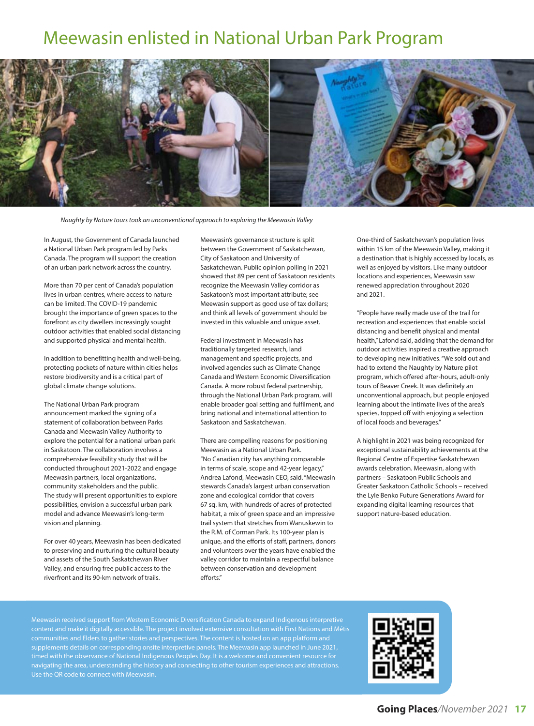### Meewasin enlisted in National Urban Park Program



Naughty by Nature tours took an unconventional approach to exploring the Meewasin Valley

In August, the Government of Canada launched a National Urban Park program led by Parks Canada. The program will support the creation of an urban park network across the country.

More than 70 per cent of Canada's population lives in urban centres, where access to nature can be limited. The COVID-19 pandemic brought the importance of green spaces to the forefront as city dwellers increasingly sought outdoor activities that enabled social distancing and supported physical and mental health.

In addition to benefitting health and well-being, protecting pockets of nature within cities helps restore biodiversity and is a critical part of global climate change solutions.

The National Urban Park program announcement marked the signing of a statement of collaboration between Parks Canada and Meewasin Valley Authority to explore the potential for a national urban park in Saskatoon. The collaboration involves a comprehensive feasibility study that will be conducted throughout 2021-2022 and engage Meewasin partners, local organizations, community stakeholders and the public. The study will present opportunities to explore possibilities, envision a successful urban park model and advance Meewasin's long-term vision and planning.

For over 40 years, Meewasin has been dedicated to preserving and nurturing the cultural beauty and assets of the South Saskatchewan River Valley, and ensuring free public access to the riverfront and its 90-km network of trails.

Meewasin's governance structure is split between the Government of Saskatchewan, City of Saskatoon and University of Saskatchewan. Public opinion polling in 2021 showed that 89 per cent of Saskatoon residents recognize the Meewasin Valley corridor as Saskatoon's most important attribute; see Meewasin support as good use of tax dollars; and think all levels of government should be invested in this valuable and unique asset.

Federal investment in Meewasin has traditionally targeted research, land management and specific projects, and involved agencies such as Climate Change Canada and Western Economic Diversification Canada. A more robust federal partnership, through the National Urban Park program, will enable broader goal setting and fulfilment, and bring national and international attention to Saskatoon and Saskatchewan.

There are compelling reasons for positioning Meewasin as a National Urban Park. "No Canadian city has anything comparable in terms of scale, scope and 42-year legacy," Andrea Lafond, Meewasin CEO, said. "Meewasin stewards Canada's largest urban conservation zone and ecological corridor that covers 67 sq. km, with hundreds of acres of protected habitat, a mix of green space and an impressive trail system that stretches from Wanuskewin to the R.M. of Corman Park. Its 100-year plan is unique, and the efforts of staff, partners, donors and volunteers over the years have enabled the valley corridor to maintain a respectful balance between conservation and development efforts."

One-third of Saskatchewan's population lives within 15 km of the Meewasin Valley, making it a destination that is highly accessed by locals, as well as enjoyed by visitors. Like many outdoor locations and experiences, Meewasin saw renewed appreciation throughout 2020 and 2021.

"People have really made use of the trail for recreation and experiences that enable social distancing and benefit physical and mental health," Lafond said, adding that the demand for outdoor activities inspired a creative approach to developing new initiatives. "We sold out and had to extend the Naughty by Nature pilot program, which offered after-hours, adult-only tours of Beaver Creek. It was definitely an unconventional approach, but people enjoyed learning about the intimate lives of the area's species, topped off with enjoying a selection of local foods and beverages."

A highlight in 2021 was being recognized for exceptional sustainability achievements at the Regional Centre of Expertise Saskatchewan awards celebration. Meewasin, along with partners – Saskatoon Public Schools and Greater Saskatoon Catholic Schools – received the Lyle Benko Future Generations Award for expanding digital learning resources that support nature-based education.

Meewasin received support from Western Economic Diversification Canada to expand Indigenous interpretive content and make it digitally accessible. The project involved extensive consultation with First Nations and Métis communities and Elders to gather stories and perspectives. The content is hosted on an app platform and supplements details on corresponding onsite interpretive panels. The Meewasin app launched in June 2021, timed with the observance of National Indigenous Peoples Day. It is a welcome and convenient resource for navigating the area, understanding the history and connecting to other tourism experiences and attractions. Use the QR code to connect with Meewasin.

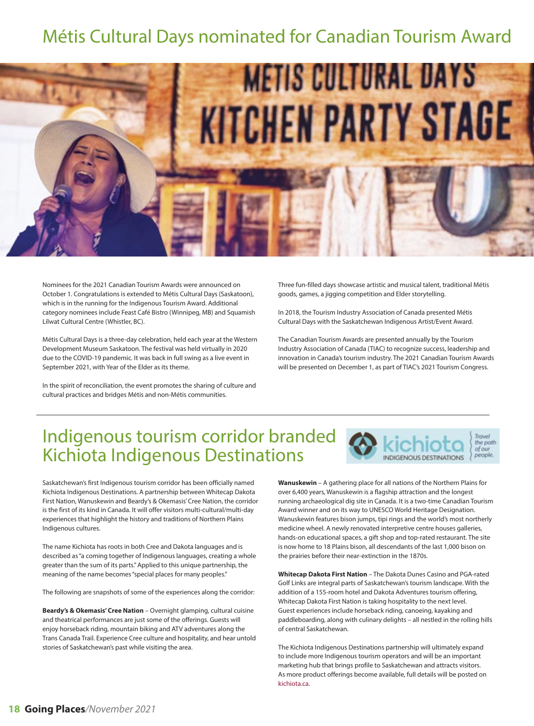## Métis Cultural Days nominated for Canadian Tourism Award



Nominees for the 2021 Canadian Tourism Awards were announced on October 1. Congratulations is extended to Métis Cultural Days (Saskatoon), which is in the running for the Indigenous Tourism Award. Additional category nominees include Feast Café Bistro (Winnipeg, MB) and Squamish Lílwat Cultural Centre (Whistler, BC).

Métis Cultural Days is a three-day celebration, held each year at the Western Development Museum Saskatoon. The festival was held virtually in 2020 due to the COVID-19 pandemic. It was back in full swing as a live event in September 2021, with Year of the Elder as its theme.

In the spirit of reconciliation, the event promotes the sharing of culture and cultural practices and bridges Métis and non-Métis communities.

Three fun-filled days showcase artistic and musical talent, traditional Métis goods, games, a jigging competition and Elder storytelling.

In 2018, the Tourism Industry Association of Canada presented Métis Cultural Days with the Saskatchewan Indigenous Artist/Event Award.

The Canadian Tourism Awards are presented annually by the Tourism Industry Association of Canada (TIAC) to recognize success, leadership and innovation in Canada's tourism industry. The 2021 Canadian Tourism Awards will be presented on December 1, as part of TIAC's 2021 Tourism Congress.

> Trave the path of our people

### Indigenous tourism corridor branded Kichiota Indigenous Destinations

Saskatchewan's first Indigenous tourism corridor has been officially named Kichiota Indigenous Destinations. A partnership between Whitecap Dakota First Nation, Wanuskewin and Beardy's & Okemasis' Cree Nation, the corridor is the first of its kind in Canada. It will offer visitors multi-cultural/multi-day experiences that highlight the history and traditions of Northern Plains Indigenous cultures.

The name Kichiota has roots in both Cree and Dakota languages and is described as "a coming together of Indigenous languages, creating a whole greater than the sum of its parts." Applied to this unique partnership, the meaning of the name becomes "special places for many peoples."

The following are snapshots of some of the experiences along the corridor:

**Beardy's & Okemasis' Cree Nation** – Overnight glamping, cultural cuisine and theatrical performances are just some of the offerings. Guests will enjoy horseback riding, mountain biking and ATV adventures along the Trans Canada Trail. Experience Cree culture and hospitality, and hear untold stories of Saskatchewan's past while visiting the area.

**Wanuskewin** – A gathering place for all nations of the Northern Plains for over 6,400 years, Wanuskewin is a flagship attraction and the longest running archaeological dig site in Canada. It is a two-time Canadian Tourism Award winner and on its way to UNESCO World Heritage Designation. Wanuskewin features bison jumps, tipi rings and the world's most northerly medicine wheel. A newly renovated interpretive centre houses galleries, hands-on educational spaces, a gift shop and top-rated restaurant. The site is now home to 18 Plains bison, all descendants of the last 1,000 bison on the prairies before their near-extinction in the 1870s.

**Whitecap Dakota First Nation** – The Dakota Dunes Casino and PGA-rated Golf Links are integral parts of Saskatchewan's tourism landscape. With the addition of a 155-room hotel and Dakota Adventures tourism offering, Whitecap Dakota First Nation is taking hospitality to the next level. Guest experiences include horseback riding, canoeing, kayaking and paddleboarding, along with culinary delights – all nestled in the rolling hills of central Saskatchewan.

The Kichiota Indigenous Destinations partnership will ultimately expand to include more Indigenous tourism operators and will be an important marketing hub that brings profile to Saskatchewan and attracts visitors. As more product offerings become available, full details will be posted on kichiota.ca.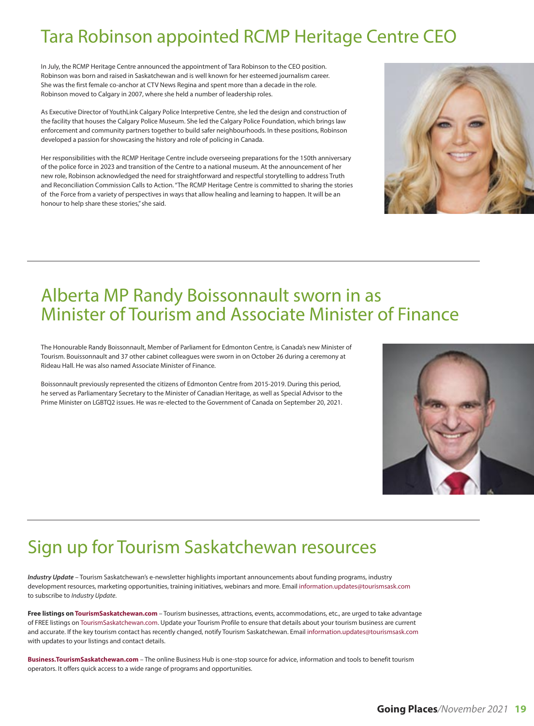## Tara Robinson appointed RCMP Heritage Centre CEO

In July, the RCMP Heritage Centre announced the appointment of Tara Robinson to the CEO position. Robinson was born and raised in Saskatchewan and is well known for her esteemed journalism career. She was the first female co-anchor at CTV News Regina and spent more than a decade in the role. Robinson moved to Calgary in 2007, where she held a number of leadership roles.

As Executive Director of YouthLink Calgary Police Interpretive Centre, she led the design and construction of the facility that houses the Calgary Police Museum. She led the Calgary Police Foundation, which brings law enforcement and community partners together to build safer neighbourhoods. In these positions, Robinson developed a passion for showcasing the history and role of policing in Canada.

Her responsibilities with the RCMP Heritage Centre include overseeing preparations for the 150th anniversary of the police force in 2023 and transition of the Centre to a national museum. At the announcement of her new role, Robinson acknowledged the need for straightforward and respectful storytelling to address Truth and Reconciliation Commission Calls to Action. "The RCMP Heritage Centre is committed to sharing the stories of the Force from a variety of perspectives in ways that allow healing and learning to happen. It will be an honour to help share these stories," she said.



### Alberta MP Randy Boissonnault sworn in as Minister of Tourism and Associate Minister of Finance

The Honourable Randy Boissonnault, Member of Parliament for Edmonton Centre, is Canada's new Minister of Tourism. Bouissonnault and 37 other cabinet colleagues were sworn in on October 26 during a ceremony at Rideau Hall. He was also named Associate Minister of Finance.

Boissonnault previously represented the citizens of Edmonton Centre from 2015-2019. During this period, he served as Parliamentary Secretary to the Minister of Canadian Heritage, as well as Special Advisor to the Prime Minister on LGBTQ2 issues. He was re-elected to the Government of Canada on September 20, 2021.

## Sign up for Tourism Saskatchewan resources

**Industry Update** – Tourism Saskatchewan's e-newsletter highlights important announcements about funding programs, industry development resources, marketing opportunities, training initiatives, webinars and more. Email information.updates@tourismsask.com to subscribe to Industry Update.

**Free listings on TourismSaskatchewan.com** – Tourism businesses, attractions, events, accommodations, etc., are urged to take advantage of FREE listings on TourismSaskatchewan.com. Update your Tourism Profile to ensure that details about your tourism business are current and accurate. If the key tourism contact has recently changed, notify Tourism Saskatchewan. Email information.updates@tourismsask.com with updates to your listings and contact details.

**Business.TourismSaskatchewan.com** – The online Business Hub is one-stop source for advice, information and tools to benefit tourism operators. It offers quick access to a wide range of programs and opportunities.